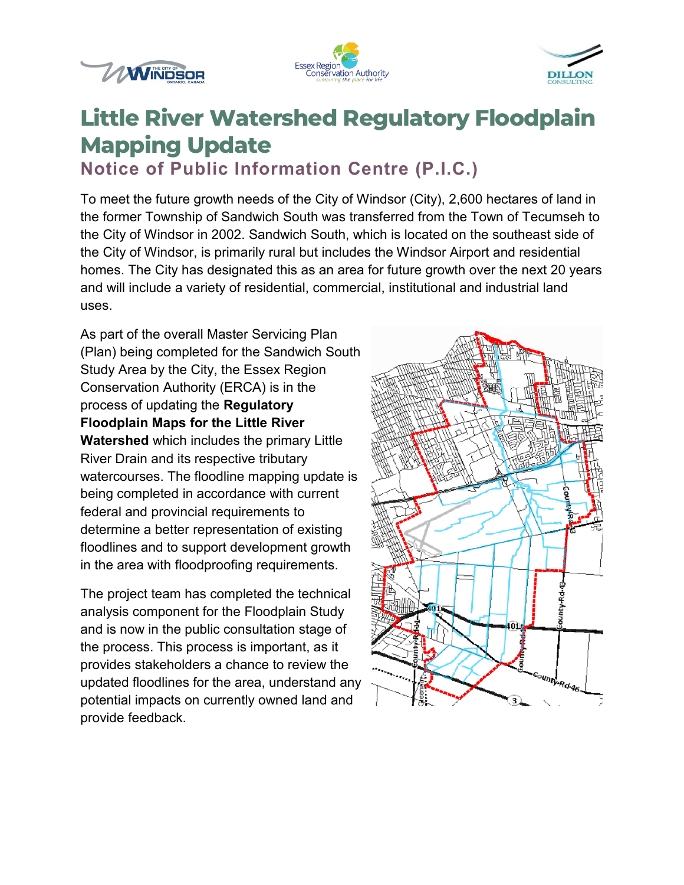





# **Little River Watershed Regulatory Floodplain Mapping Update**

**Notice of Public Information Centre (P.I.C.)**

To meet the future growth needs of the City of Windsor (City), 2,600 hectares of land in the former Township of Sandwich South was transferred from the Town of Tecumseh to the City of Windsor in 2002. Sandwich South, which is located on the southeast side of the City of Windsor, is primarily rural but includes the Windsor Airport and residential homes. The City has designated this as an area for future growth over the next 20 years and will include a variety of residential, commercial, institutional and industrial land uses.

As part of the overall Master Servicing Plan (Plan) being completed for the Sandwich South Study Area by the City, the Essex Region Conservation Authority (ERCA) is in the process of updating the **Regulatory Floodplain Maps for the Little River Watershed** which includes the primary Little River Drain and its respective tributary watercourses. The floodline mapping update is being completed in accordance with current federal and provincial requirements to determine a better representation of existing floodlines and to support development growth in the area with floodproofing requirements.

The project team has completed the technical analysis component for the Floodplain Study and is now in the public consultation stage of the process. This process is important, as it provides stakeholders a chance to review the updated floodlines for the area, understand any potential impacts on currently owned land and provide feedback.